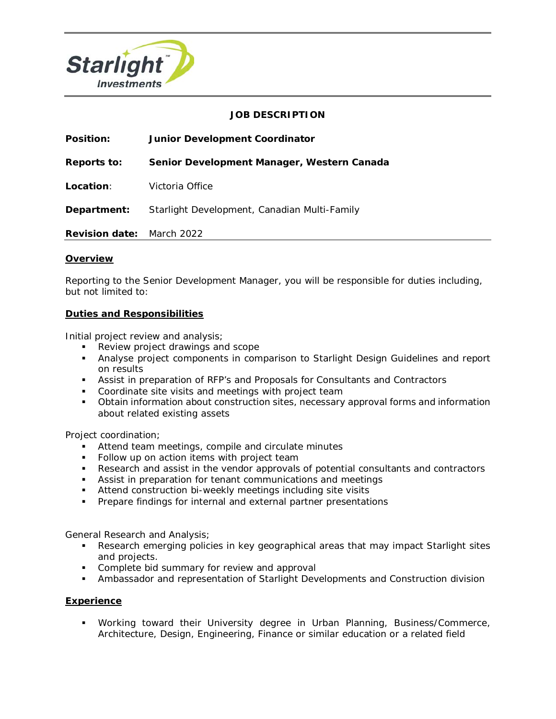

## **JOB DESCRIPTION**

| <b>Position:</b>                 | <b>Junior Development Coordinator</b>        |
|----------------------------------|----------------------------------------------|
| Reports to:                      | Senior Development Manager, Western Canada   |
| Location:                        | Victoria Office                              |
| Department:                      | Starlight Development, Canadian Multi-Family |
| <b>Revision date:</b> March 2022 |                                              |

## **Overview**

Reporting to the Senior Development Manager, you will be responsible for duties including, but not limited to:

## **Duties and Responsibilities**

Initial project review and analysis;

- Review project drawings and scope
- Analyse project components in comparison to Starlight Design Guidelines and report on results
- Assist in preparation of RFP's and Proposals for Consultants and Contractors
- **Coordinate site visits and meetings with project team**
- Obtain information about construction sites, necessary approval forms and information about related existing assets

Project coordination;

- **Attend team meetings, compile and circulate minutes**
- Follow up on action items with project team
- Research and assist in the vendor approvals of potential consultants and contractors
- Assist in preparation for tenant communications and meetings
- Attend construction bi-weekly meetings including site visits
- **Prepare findings for internal and external partner presentations**

General Research and Analysis;

- Research emerging policies in key geographical areas that may impact Starlight sites and projects.
- **Complete bid summary for review and approval**
- Ambassador and representation of Starlight Developments and Construction division

## **Experience**

 Working toward their University degree in Urban Planning, Business/Commerce, Architecture, Design, Engineering, Finance or similar education or a related field